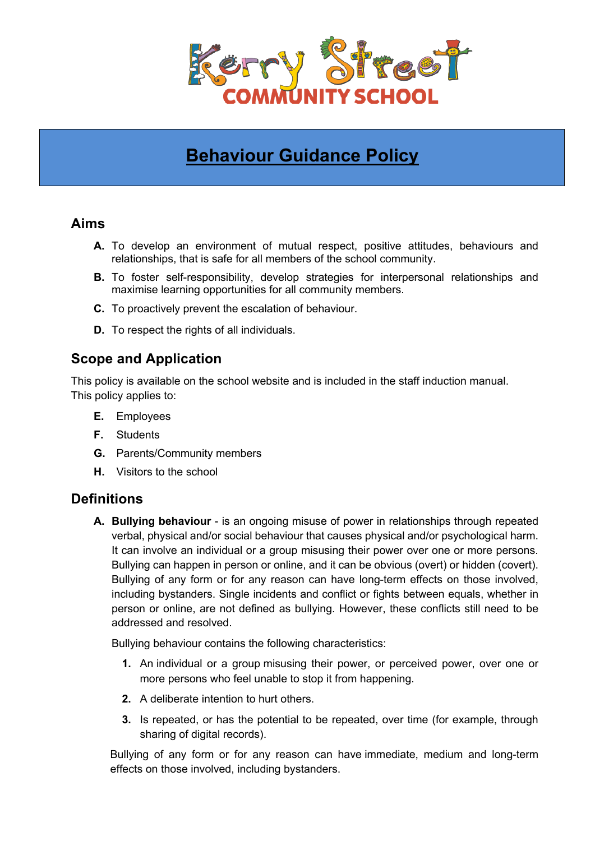

# **Behaviour Guidance Policy**

### **Aims**

- **A.** To develop an environment of mutual respect, positive attitudes, behaviours and relationships, that is safe for all members of the school community.
- **B.** To foster self-responsibility, develop strategies for interpersonal relationships and maximise learning opportunities for all community members.
- **C.** To proactively prevent the escalation of behaviour.
- **D.** To respect the rights of all individuals.

# **Scope and Application**

This policy is available on the school website and is included in the staff induction manual. This policy applies to:

- **E.** Employees
- **F.** Students
- **G.** Parents/Community members
- **H.** Visitors to the school

### **Definitions**

**A. Bullying behaviour** - is an ongoing misuse of power in relationships through repeated verbal, physical and/or social behaviour that causes physical and/or psychological harm. It can involve an individual or a group misusing their power over one or more persons. Bullying can happen in person or online, and it can be obvious (overt) or hidden (covert). Bullying of any form or for any reason can have long-term effects on those involved, including bystanders. Single incidents and conflict or fights between equals, whether in person or online, are not defined as bullying. However, these conflicts still need to be addressed and resolved.

Bullying behaviour contains the following characteristics:

- **1.** An individual or a group misusing their power, or perceived power, over one or more persons who feel unable to stop it from happening.
- **2.** A deliberate intention to hurt others.
- **3.** Is repeated, or has the potential to be repeated, over time (for example, through sharing of digital records).

Bullying of any form or for any reason can have immediate, medium and long-term effects on those involved, including bystanders.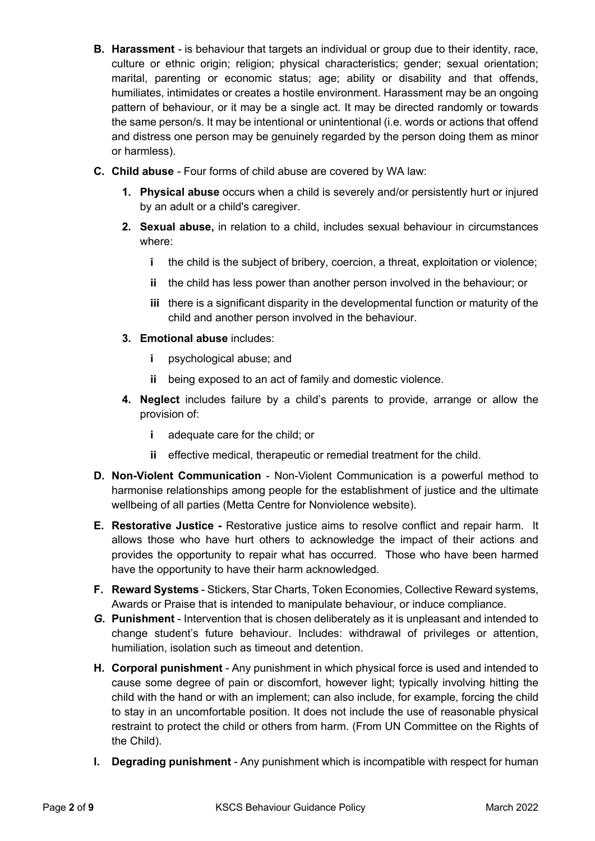- **B. Harassment** *-* is behaviour that targets an individual or group due to their identity, race, culture or ethnic origin; religion; physical characteristics; gender; sexual orientation; marital, parenting or economic status; age; ability or disability and that offends, humiliates, intimidates or creates a hostile environment. Harassment may be an ongoing pattern of behaviour, or it may be a single act. It may be directed randomly or towards the same person/s. It may be intentional or unintentional (i.e. words or actions that offend and distress one person may be genuinely regarded by the person doing them as minor or harmless).
- **C. Child abuse** *-* Four forms of child abuse are covered by WA law:
	- **1. Physical abuse** occurs when a child is severely and/or persistently hurt or injured by an adult or a child's caregiver.
	- **2. Sexual abuse,** in relation to a child, includes sexual behaviour in circumstances where:
		- **i** the child is the subject of bribery, coercion, a threat, exploitation or violence;
		- **ii** the child has less power than another person involved in the behaviour; or
		- **iii** there is a significant disparity in the developmental function or maturity of the child and another person involved in the behaviour.
	- **3. Emotional abuse** includes:
		- **i** psychological abuse; and
		- **ii** being exposed to an act of family and domestic violence.
	- **4. Neglect** includes failure by a child's parents to provide, arrange or allow the provision of:
		- **i** adequate care for the child; or
		- **ii** effective medical, therapeutic or remedial treatment for the child.
- **D. Non-Violent Communication** Non-Violent Communication is a powerful method to harmonise relationships among people for the establishment of justice and the ultimate wellbeing of all parties (Metta Centre for Nonviolence website).
- **E. Restorative Justice** *-* Restorative justice aims to resolve conflict and repair harm. It allows those who have hurt others to acknowledge the impact of their actions and provides the opportunity to repair what has occurred. Those who have been harmed have the opportunity to have their harm acknowledged.
- **F. Reward Systems** Stickers, Star Charts, Token Economies, Collective Reward systems, Awards or Praise that is intended to manipulate behaviour, or induce compliance.
- *G.* **Punishment**  Intervention that is chosen deliberately as it is unpleasant and intended to change student's future behaviour. Includes: withdrawal of privileges or attention, humiliation, isolation such as timeout and detention.
- **H. Corporal punishment** Any punishment in which physical force is used and intended to cause some degree of pain or discomfort, however light; typically involving hitting the child with the hand or with an implement; can also include, for example, forcing the child to stay in an uncomfortable position. It does not include the use of reasonable physical restraint to protect the child or others from harm. (From UN Committee on the Rights of the Child).
- **I. Degrading punishment** Any punishment which is incompatible with respect for human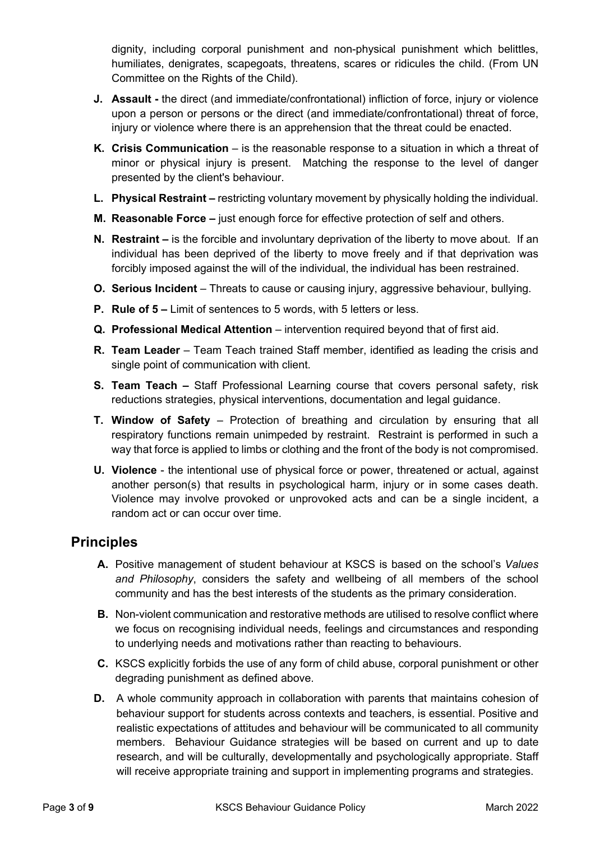dignity, including corporal punishment and non-physical punishment which belittles, humiliates, denigrates, scapegoats, threatens, scares or ridicules the child. (From UN Committee on the Rights of the Child).

- **J. Assault -** the direct (and immediate/confrontational) infliction of force, injury or violence upon a person or persons or the direct (and immediate/confrontational) threat of force, injury or violence where there is an apprehension that the threat could be enacted.
- **K. Crisis Communication** is the reasonable response to a situation in which a threat of minor or physical injury is present. Matching the response to the level of danger presented by the client's behaviour.
- **L. Physical Restraint –** restricting voluntary movement by physically holding the individual.
- **M. Reasonable Force –** just enough force for effective protection of self and others.
- **N. Restraint –** is the forcible and involuntary deprivation of the liberty to move about. If an individual has been deprived of the liberty to move freely and if that deprivation was forcibly imposed against the will of the individual, the individual has been restrained.
- **O. Serious Incident** Threats to cause or causing injury, aggressive behaviour, bullying.
- **P. Rule of 5 –** Limit of sentences to 5 words, with 5 letters or less.
- **Q. Professional Medical Attention** intervention required beyond that of first aid.
- **R. Team Leader** Team Teach trained Staff member, identified as leading the crisis and single point of communication with client.
- **S. Team Teach –** Staff Professional Learning course that covers personal safety, risk reductions strategies, physical interventions, documentation and legal guidance.
- **T. Window of Safety** Protection of breathing and circulation by ensuring that all respiratory functions remain unimpeded by restraint. Restraint is performed in such a way that force is applied to limbs or clothing and the front of the body is not compromised.
- **U. Violence** the intentional use of physical force or power, threatened or actual, against another person(s) that results in psychological harm, injury or in some cases death. Violence may involve provoked or unprovoked acts and can be a single incident, a random act or can occur over time.

### **Principles**

- **A.** Positive management of student behaviour at KSCS is based on the school's *Values and Philosophy*, considers the safety and wellbeing of all members of the school community and has the best interests of the students as the primary consideration.
- **B.** Non-violent communication and restorative methods are utilised to resolve conflict where we focus on recognising individual needs, feelings and circumstances and responding to underlying needs and motivations rather than reacting to behaviours.
- **C.** KSCS explicitly forbids the use of any form of child abuse, corporal punishment or other degrading punishment as defined above.
- **D.** A whole community approach in collaboration with parents that maintains cohesion of behaviour support for students across contexts and teachers, is essential. Positive and realistic expectations of attitudes and behaviour will be communicated to all community members. Behaviour Guidance strategies will be based on current and up to date research, and will be culturally, developmentally and psychologically appropriate. Staff will receive appropriate training and support in implementing programs and strategies.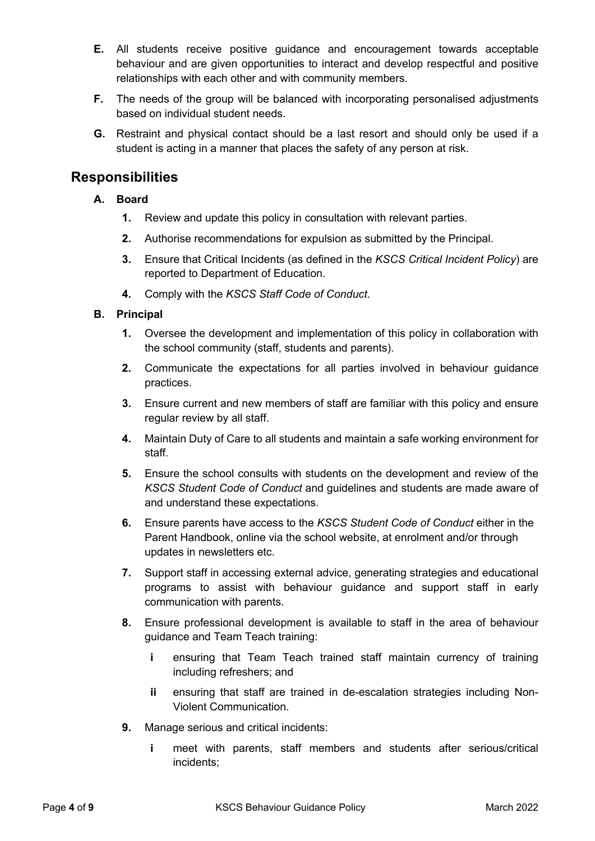- **E.** All students receive positive guidance and encouragement towards acceptable behaviour and are given opportunities to interact and develop respectful and positive relationships with each other and with community members.
- **F.** The needs of the group will be balanced with incorporating personalised adjustments based on individual student needs.
- **G.** Restraint and physical contact should be a last resort and should only be used if a student is acting in a manner that places the safety of any person at risk.

### **Responsibilities**

#### **A. Board**

- **1.** Review and update this policy in consultation with relevant parties.
- **2.** Authorise recommendations for expulsion as submitted by the Principal.
- **3.** Ensure that Critical Incidents (as defined in the *KSCS Critical Incident Policy*) are reported to Department of Education.
- **4.** Comply with the *KSCS Staff Code of Conduct*.

#### **B. Principal**

- **1.** Oversee the development and implementation of this policy in collaboration with the school community (staff, students and parents).
- **2.** Communicate the expectations for all parties involved in behaviour guidance practices.
- **3.** Ensure current and new members of staff are familiar with this policy and ensure regular review by all staff.
- **4.** Maintain Duty of Care to all students and maintain a safe working environment for staff.
- **5.** Ensure the school consults with students on the development and review of the *KSCS Student Code of Conduct* and guidelines and students are made aware of and understand these expectations.
- **6.** Ensure parents have access to the *KSCS Student Code of Conduct* either in the Parent Handbook, online via the school website, at enrolment and/or through updates in newsletters etc.
- **7.** Support staff in accessing external advice, generating strategies and educational programs to assist with behaviour guidance and support staff in early communication with parents.
- **8.** Ensure professional development is available to staff in the area of behaviour guidance and Team Teach training:
	- **i** ensuring that Team Teach trained staff maintain currency of training including refreshers; and
	- **ii** ensuring that staff are trained in de-escalation strategies including Non-Violent Communication.
- **9.** Manage serious and critical incidents:
	- **i** meet with parents, staff members and students after serious/critical incidents;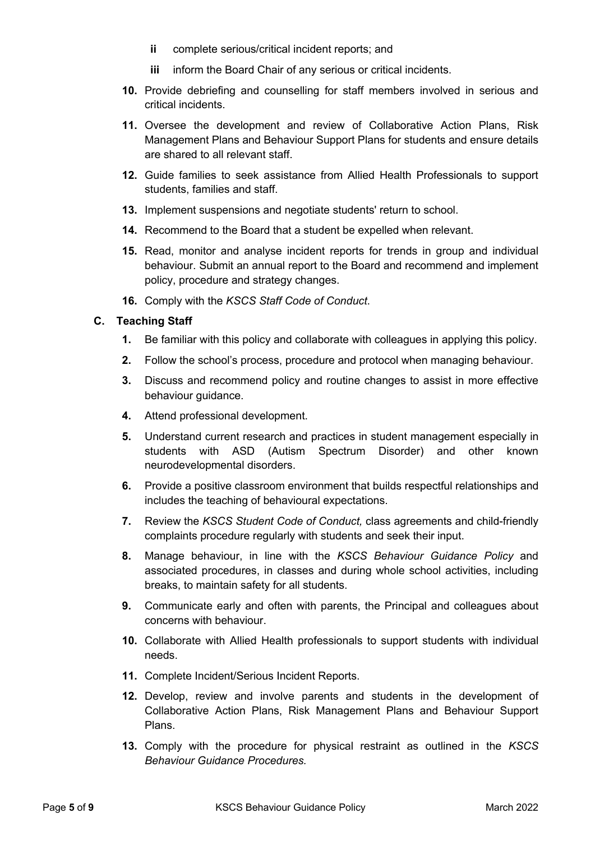- **ii** complete serious/critical incident reports; and
- **iii** inform the Board Chair of any serious or critical incidents.
- **10.** Provide debriefing and counselling for staff members involved in serious and critical incidents.
- **11.** Oversee the development and review of Collaborative Action Plans, Risk Management Plans and Behaviour Support Plans for students and ensure details are shared to all relevant staff.
- **12.** Guide families to seek assistance from Allied Health Professionals to support students, families and staff.
- **13.** Implement suspensions and negotiate students' return to school.
- **14.** Recommend to the Board that a student be expelled when relevant.
- **15.** Read, monitor and analyse incident reports for trends in group and individual behaviour. Submit an annual report to the Board and recommend and implement policy, procedure and strategy changes.
- **16.** Comply with the *KSCS Staff Code of Conduct*.

#### **C. Teaching Staff**

- **1.** Be familiar with this policy and collaborate with colleagues in applying this policy.
- **2.** Follow the school's process, procedure and protocol when managing behaviour.
- **3.** Discuss and recommend policy and routine changes to assist in more effective behaviour guidance.
- **4.** Attend professional development.
- **5.** Understand current research and practices in student management especially in students with ASD (Autism Spectrum Disorder) and other known neurodevelopmental disorders.
- **6.** Provide a positive classroom environment that builds respectful relationships and includes the teaching of behavioural expectations.
- **7.** Review the *KSCS Student Code of Conduct,* class agreements and child-friendly complaints procedure regularly with students and seek their input.
- **8.** Manage behaviour, in line with the *KSCS Behaviour Guidance Policy* and associated procedures, in classes and during whole school activities, including breaks, to maintain safety for all students.
- **9.** Communicate early and often with parents, the Principal and colleagues about concerns with behaviour.
- **10.** Collaborate with Allied Health professionals to support students with individual needs.
- **11.** Complete Incident/Serious Incident Reports.
- **12.** Develop, review and involve parents and students in the development of Collaborative Action Plans, Risk Management Plans and Behaviour Support Plans.
- **13.** Comply with the procedure for physical restraint as outlined in the *KSCS Behaviour Guidance Procedures.*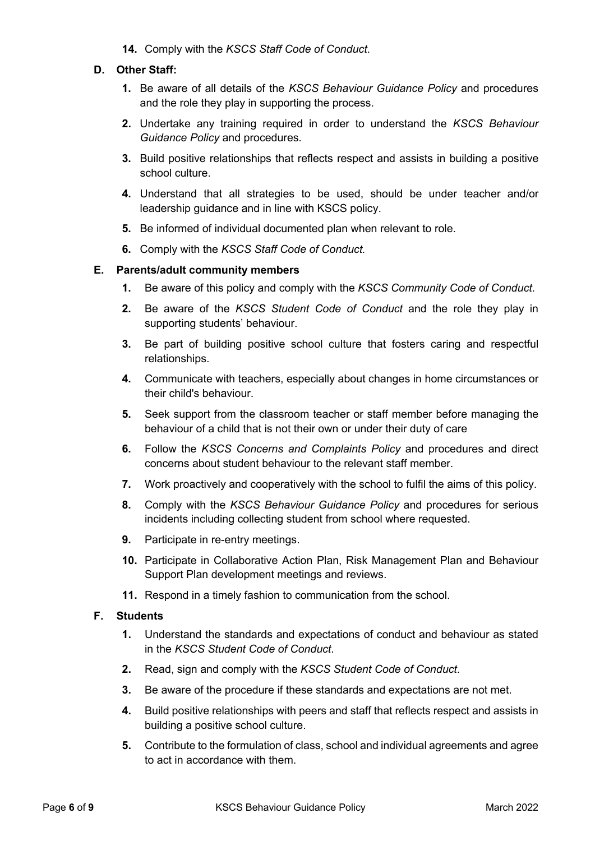**14.** Comply with the *KSCS Staff Code of Conduct*.

#### **D. Other Staff:**

- **1.** Be aware of all details of the *KSCS Behaviour Guidance Policy* and procedures and the role they play in supporting the process.
- **2.** Undertake any training required in order to understand the *KSCS Behaviour Guidance Policy* and procedures*.*
- **3.** Build positive relationships that reflects respect and assists in building a positive school culture.
- **4.** Understand that all strategies to be used, should be under teacher and/or leadership guidance and in line with KSCS policy.
- **5.** Be informed of individual documented plan when relevant to role.
- **6.** Comply with the *KSCS Staff Code of Conduct.*

#### **E. Parents/adult community members**

- **1.** Be aware of this policy and comply with the *KSCS Community Code of Conduct*.
- **2.** Be aware of the *KSCS Student Code of Conduct* and the role they play in supporting students' behaviour.
- **3.** Be part of building positive school culture that fosters caring and respectful relationships.
- **4.** Communicate with teachers, especially about changes in home circumstances or their child's behaviour.
- **5.** Seek support from the classroom teacher or staff member before managing the behaviour of a child that is not their own or under their duty of care
- **6.** Follow the *KSCS Concerns and Complaints Policy* and procedures and direct concerns about student behaviour to the relevant staff member.
- **7.** Work proactively and cooperatively with the school to fulfil the aims of this policy.
- **8.** Comply with the *KSCS Behaviour Guidance Policy* and procedures for serious incidents including collecting student from school where requested.
- **9.** Participate in re-entry meetings.
- **10.** Participate in Collaborative Action Plan, Risk Management Plan and Behaviour Support Plan development meetings and reviews.
- **11.** Respond in a timely fashion to communication from the school.

#### **F. Students**

- **1.** Understand the standards and expectations of conduct and behaviour as stated in the *KSCS Student Code of Conduct*.
- **2.** Read, sign and comply with the *KSCS Student Code of Conduct*.
- **3.** Be aware of the procedure if these standards and expectations are not met.
- **4.** Build positive relationships with peers and staff that reflects respect and assists in building a positive school culture.
- **5.** Contribute to the formulation of class, school and individual agreements and agree to act in accordance with them.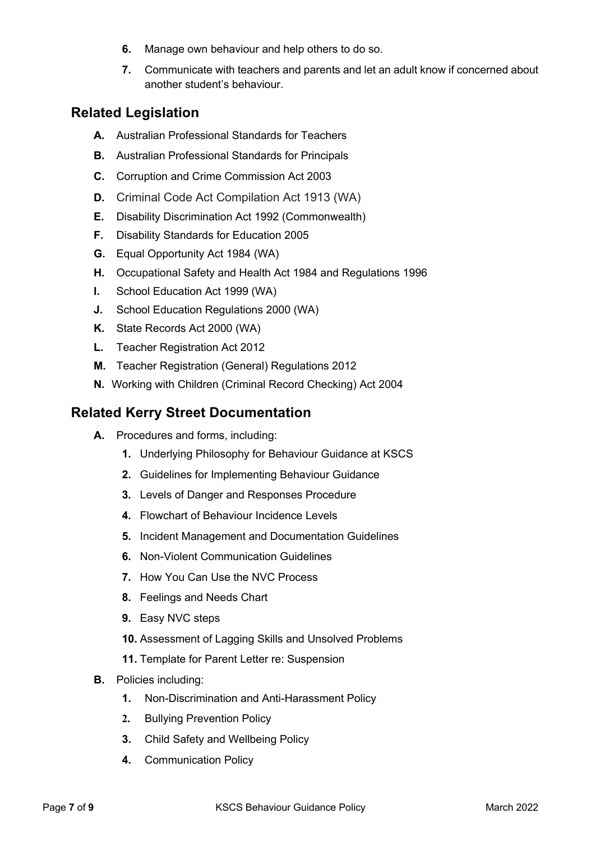- **6.** Manage own behaviour and help others to do so.
- **7.** Communicate with teachers and parents and let an adult know if concerned about another student's behaviour.

### **Related Legislation**

- **A.** Australian Professional Standards for Teachers
- **B.** Australian Professional Standards for Principals
- **C.** Corruption and Crime Commission Act 2003
- **D.** Criminal Code Act Compilation Act 1913 (WA)
- **E.** Disability Discrimination Act 1992 (Commonwealth)
- **F.** Disability Standards for Education 2005
- **G.** Equal Opportunity Act 1984 (WA)
- **H.** Occupational Safety and Health Act 1984 and Regulations 1996
- **I.** School Education Act 1999 (WA)
- **J.** School Education Regulations 2000 (WA)
- **K.** State Records Act 2000 (WA)
- **L.** Teacher Registration Act 2012
- **M.** Teacher Registration (General) Regulations 2012
- **N.** Working with Children (Criminal Record Checking) Act 2004

### **Related Kerry Street Documentation**

- **A.** Procedures and forms, including:
	- **1.** Underlying Philosophy for Behaviour Guidance at KSCS
	- **2.** Guidelines for Implementing Behaviour Guidance
	- **3.** Levels of Danger and Responses Procedure
	- **4.** Flowchart of Behaviour Incidence Levels
	- **5.** Incident Management and Documentation Guidelines
	- **6.** Non-Violent Communication Guidelines
	- **7.** How You Can Use the NVC Process
	- **8.** Feelings and Needs Chart
	- **9.** Easy NVC steps
	- **10.** Assessment of Lagging Skills and Unsolved Problems
	- **11.** Template for Parent Letter re: Suspension
- **B.** Policies including:
	- **1.** Non-Discrimination and Anti-Harassment Policy
	- **2.** Bullying Prevention Policy
	- **3.** Child Safety and Wellbeing Policy
	- **4.** Communication Policy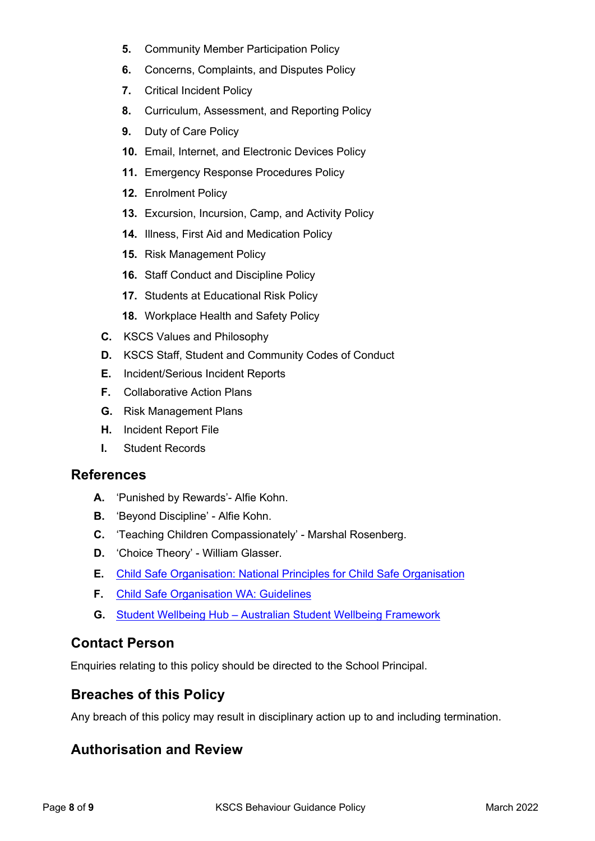- **5.** Community Member Participation Policy
- **6.** Concerns, Complaints, and Disputes Policy
- **7.** Critical Incident Policy
- **8.** Curriculum, Assessment, and Reporting Policy
- **9.** Duty of Care Policy
- **10.** Email, Internet, and Electronic Devices Policy
- **11.** Emergency Response Procedures Policy
- **12.** Enrolment Policy
- **13.** Excursion, Incursion, Camp, and Activity Policy
- **14.** Illness, First Aid and Medication Policy
- **15.** Risk Management Policy
- **16.** Staff Conduct and Discipline Policy
- **17.** Students at Educational Risk Policy
- **18.** Workplace Health and Safety Policy
- **C.** KSCS Values and Philosophy
- **D.** KSCS Staff, Student and Community Codes of Conduct
- **E.** Incident/Serious Incident Reports
- **F.** Collaborative Action Plans
- **G.** Risk Management Plans
- **H.** Incident Report File
- **I.** Student Records

#### **References**

- **A.** 'Punished by Rewards'- Alfie Kohn.
- **B.** 'Beyond Discipline' Alfie Kohn.
- **C.** 'Teaching Children Compassionately' Marshal Rosenberg.
- **D.** 'Choice Theory' William Glasser.
- **E.** Child Safe Organisation: National Principles for Child Safe Organisation
- **F.** Child Safe Organisation WA: Guidelines
- **G.** Student Wellbeing Hub Australian Student Wellbeing Framework

### **Contact Person**

Enquiries relating to this policy should be directed to the School Principal.

### **Breaches of this Policy**

Any breach of this policy may result in disciplinary action up to and including termination.

## **Authorisation and Review**